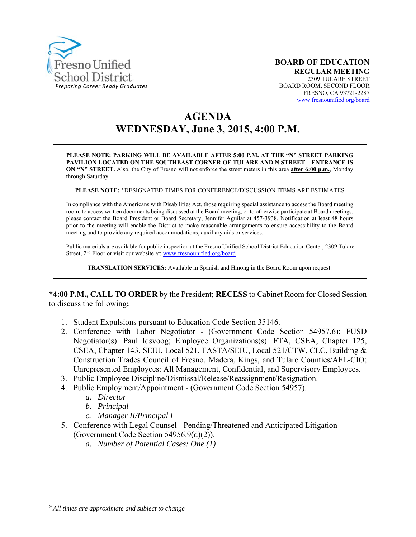

# **AGENDA WEDNESDAY, June 3, 2015, 4:00 P.M.**

**PLEASE NOTE: PARKING WILL BE AVAILABLE AFTER 5:00 P.M. AT THE "N" STREET PARKING PAVILION LOCATED ON THE SOUTHEAST CORNER OF TULARE AND N STREET – ENTRANCE IS ON "N" STREET.** Also, the City of Fresno will not enforce the street meters in this area **after 6:00 p.m.**, Monday through Saturday.

**PLEASE NOTE: \***DESIGNATED TIMES FOR CONFERENCE/DISCUSSION ITEMS ARE ESTIMATES

In compliance with the Americans with Disabilities Act, those requiring special assistance to access the Board meeting room, to access written documents being discussed at the Board meeting, or to otherwise participate at Board meetings, please contact the Board President or Board Secretary, Jennifer Aguilar at 457-3938. Notification at least 48 hours prior to the meeting will enable the District to make reasonable arrangements to ensure accessibility to the Board meeting and to provide any required accommodations, auxiliary aids or services.

Public materials are available for public inspection at the Fresno Unified School District Education Center, 2309 Tulare Street, 2<sup>nd</sup> Floor or visit our website at: www.fresnounified.org/board

**TRANSLATION SERVICES:** Available in Spanish and Hmong in the Board Room upon request.

**\*4:00 P.M., CALL TO ORDER** by the President; **RECESS** to Cabinet Room for Closed Session to discuss the following**:** 

- 1. Student Expulsions pursuant to Education Code Section 35146.
- 2. Conference with Labor Negotiator (Government Code Section 54957.6); FUSD Negotiator(s): Paul Idsvoog; Employee Organizations(s): FTA, CSEA, Chapter 125, CSEA, Chapter 143, SEIU, Local 521, FASTA/SEIU, Local 521/CTW, CLC, Building & Construction Trades Council of Fresno, Madera, Kings, and Tulare Counties/AFL-CIO; Unrepresented Employees: All Management, Confidential, and Supervisory Employees.
- 3. Public Employee Discipline/Dismissal/Release/Reassignment/Resignation.
- 4. Public Employment/Appointment (Government Code Section 54957).
	- *a. Director*
	- *b. Principal*
	- *c. Manager II/Principal I*
- 5. Conference with Legal Counsel Pending/Threatened and Anticipated Litigation (Government Code Section 54956.9(d)(2)).
	- *a. Number of Potential Cases: One (1)*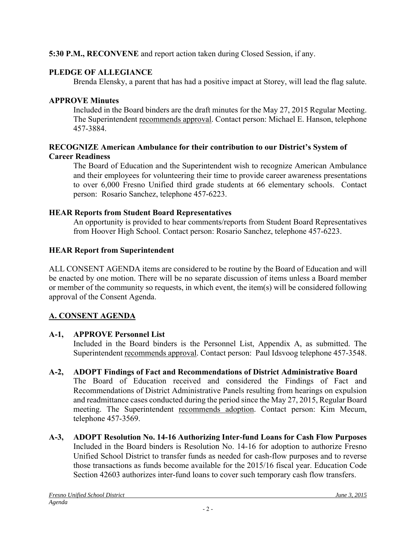# **5:30 P.M., RECONVENE** and report action taken during Closed Session, if any.

# **PLEDGE OF ALLEGIANCE**

Brenda Elensky, a parent that has had a positive impact at Storey, will lead the flag salute.

# **APPROVE Minutes**

Included in the Board binders are the draft minutes for the May 27, 2015 Regular Meeting. The Superintendent recommends approval. Contact person: Michael E. Hanson, telephone 457-3884.

### **RECOGNIZE American Ambulance for their contribution to our District's System of Career Readiness**

The Board of Education and the Superintendent wish to recognize American Ambulance and their employees for volunteering their time to provide career awareness presentations to over 6,000 Fresno Unified third grade students at 66 elementary schools. Contact person: Rosario Sanchez, telephone 457-6223.

# **HEAR Reports from Student Board Representatives**

An opportunity is provided to hear comments/reports from Student Board Representatives from Hoover High School. Contact person: Rosario Sanchez, telephone 457-6223.

# **HEAR Report from Superintendent**

ALL CONSENT AGENDA items are considered to be routine by the Board of Education and will be enacted by one motion. There will be no separate discussion of items unless a Board member or member of the community so requests, in which event, the item(s) will be considered following approval of the Consent Agenda.

# **A. CONSENT AGENDA**

# **A-1, APPROVE Personnel List**

Included in the Board binders is the Personnel List, Appendix A, as submitted. The Superintendent recommends approval. Contact person: Paul Idsvoog telephone 457-3548.

# **A-2, ADOPT Findings of Fact and Recommendations of District Administrative Board**

The Board of Education received and considered the Findings of Fact and Recommendations of District Administrative Panels resulting from hearings on expulsion and readmittance cases conducted during the period since the May 27, 2015, Regular Board meeting. The Superintendent recommends adoption. Contact person: Kim Mecum, telephone 457-3569.

**A-3, ADOPT Resolution No. 14-16 Authorizing Inter-fund Loans for Cash Flow Purposes**  Included in the Board binders is Resolution No. 14-16 for adoption to authorize Fresno Unified School District to transfer funds as needed for cash-flow purposes and to reverse those transactions as funds become available for the 2015/16 fiscal year. Education Code Section 42603 authorizes inter-fund loans to cover such temporary cash flow transfers.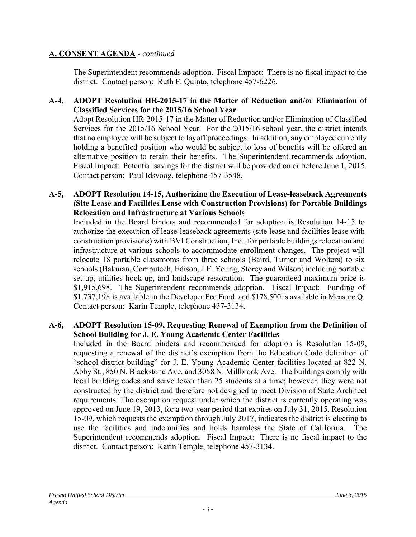The Superintendent recommends adoption. Fiscal Impact: There is no fiscal impact to the district. Contact person: Ruth F. Quinto, telephone 457-6226.

### **A-4, ADOPT Resolution HR-2015-17 in the Matter of Reduction and/or Elimination of Classified Services for the 2015/16 School Year**

Adopt Resolution HR-2015-17 in the Matter of Reduction and/or Elimination of Classified Services for the 2015/16 School Year. For the 2015/16 school year, the district intends that no employee will be subject to layoff proceedings. In addition, any employee currently holding a benefited position who would be subject to loss of benefits will be offered an alternative position to retain their benefits. The Superintendent recommends adoption. Fiscal Impact: Potential savings for the district will be provided on or before June 1, 2015. Contact person: Paul Idsvoog, telephone 457-3548.

#### **A-5, ADOPT Resolution 14-15, Authorizing the Execution of Lease-leaseback Agreements (Site Lease and Facilities Lease with Construction Provisions) for Portable Buildings Relocation and Infrastructure at Various Schools**

Included in the Board binders and recommended for adoption is Resolution 14-15 to authorize the execution of lease-leaseback agreements (site lease and facilities lease with construction provisions) with BVI Construction, Inc., for portable buildings relocation and infrastructure at various schools to accommodate enrollment changes. The project will relocate 18 portable classrooms from three schools (Baird, Turner and Wolters) to six schools (Bakman, Computech, Edison, J.E. Young, Storey and Wilson) including portable set-up, utilities hook-up, and landscape restoration. The guaranteed maximum price is \$1,915,698. The Superintendent recommends adoption. Fiscal Impact: Funding of \$1,737,198 is available in the Developer Fee Fund, and \$178,500 is available in Measure Q. Contact person: Karin Temple, telephone 457-3134.

### **A-6, ADOPT Resolution 15-09, Requesting Renewal of Exemption from the Definition of School Building for J. E. Young Academic Center Facilities**

Included in the Board binders and recommended for adoption is Resolution 15-09, requesting a renewal of the district's exemption from the Education Code definition of "school district building" for J. E. Young Academic Center facilities located at 822 N. Abby St., 850 N. Blackstone Ave. and 3058 N. Millbrook Ave. The buildings comply with local building codes and serve fewer than 25 students at a time; however, they were not constructed by the district and therefore not designed to meet Division of State Architect requirements. The exemption request under which the district is currently operating was approved on June 19, 2013, for a two-year period that expires on July 31, 2015. Resolution 15-09, which requests the exemption through July 2017, indicates the district is electing to use the facilities and indemnifies and holds harmless the State of California. The Superintendent recommends adoption. Fiscal Impact: There is no fiscal impact to the district. Contact person: Karin Temple, telephone 457-3134.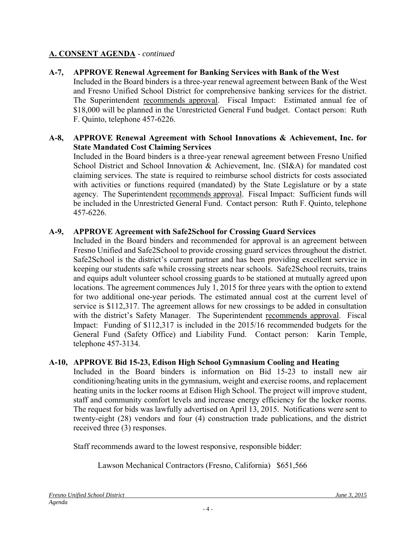**A-7, APPROVE Renewal Agreement for Banking Services with Bank of the West**  Included in the Board binders is a three-year renewal agreement between Bank of the West and Fresno Unified School District for comprehensive banking services for the district. The Superintendent recommends approval. Fiscal Impact: Estimated annual fee of \$18,000 will be planned in the Unrestricted General Fund budget. Contact person: Ruth F. Quinto, telephone 457-6226.

### **A-8, APPROVE Renewal Agreement with School Innovations & Achievement, Inc. for State Mandated Cost Claiming Services**

Included in the Board binders is a three-year renewal agreement between Fresno Unified School District and School Innovation & Achievement, Inc. (SI&A) for mandated cost claiming services. The state is required to reimburse school districts for costs associated with activities or functions required (mandated) by the State Legislature or by a state agency. The Superintendent recommends approval. Fiscal Impact: Sufficient funds will be included in the Unrestricted General Fund. Contact person: Ruth F. Quinto, telephone 457-6226.

### **A-9, APPROVE Agreement with Safe2School for Crossing Guard Services**

Included in the Board binders and recommended for approval is an agreement between Fresno Unified and Safe2School to provide crossing guard services throughout the district. Safe2School is the district's current partner and has been providing excellent service in keeping our students safe while crossing streets near schools. Safe2School recruits, trains and equips adult volunteer school crossing guards to be stationed at mutually agreed upon locations. The agreement commences July 1, 2015 for three years with the option to extend for two additional one-year periods. The estimated annual cost at the current level of service is \$112,317. The agreement allows for new crossings to be added in consultation with the district's Safety Manager. The Superintendent recommends approval. Fiscal Impact: Funding of \$112,317 is included in the 2015/16 recommended budgets for the General Fund (Safety Office) and Liability Fund. Contact person: Karin Temple, telephone 457-3134.

# **A-10, APPROVE Bid 15-23, Edison High School Gymnasium Cooling and Heating**

Included in the Board binders is information on Bid 15-23 to install new air conditioning/heating units in the gymnasium, weight and exercise rooms, and replacement heating units in the locker rooms at Edison High School. The project will improve student, staff and community comfort levels and increase energy efficiency for the locker rooms. The request for bids was lawfully advertised on April 13, 2015. Notifications were sent to twenty-eight (28) vendors and four (4) construction trade publications, and the district received three (3) responses.

Staff recommends award to the lowest responsive, responsible bidder:

Lawson Mechanical Contractors (Fresno, California) \$651,566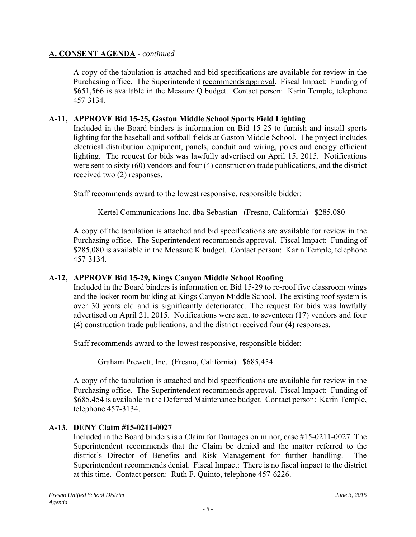A copy of the tabulation is attached and bid specifications are available for review in the Purchasing office. The Superintendent recommends approval. Fiscal Impact: Funding of \$651,566 is available in the Measure Q budget. Contact person: Karin Temple, telephone 457-3134.

# **A-11, APPROVE Bid 15-25, Gaston Middle School Sports Field Lighting**

Included in the Board binders is information on Bid 15-25 to furnish and install sports lighting for the baseball and softball fields at Gaston Middle School. The project includes electrical distribution equipment, panels, conduit and wiring, poles and energy efficient lighting. The request for bids was lawfully advertised on April 15, 2015. Notifications were sent to sixty (60) vendors and four (4) construction trade publications, and the district received two (2) responses.

Staff recommends award to the lowest responsive, responsible bidder:

Kertel Communications Inc. dba Sebastian (Fresno, California) \$285,080

A copy of the tabulation is attached and bid specifications are available for review in the Purchasing office. The Superintendent recommends approval. Fiscal Impact: Funding of \$285,080 is available in the Measure K budget. Contact person: Karin Temple, telephone 457-3134.

# **A-12, APPROVE Bid 15-29, Kings Canyon Middle School Roofing**

Included in the Board binders is information on Bid 15-29 to re-roof five classroom wings and the locker room building at Kings Canyon Middle School. The existing roof system is over 30 years old and is significantly deteriorated. The request for bids was lawfully advertised on April 21, 2015. Notifications were sent to seventeen (17) vendors and four (4) construction trade publications, and the district received four (4) responses.

Staff recommends award to the lowest responsive, responsible bidder:

Graham Prewett, Inc. (Fresno, California) \$685,454

A copy of the tabulation is attached and bid specifications are available for review in the Purchasing office. The Superintendent recommends approval. Fiscal Impact: Funding of \$685,454 is available in the Deferred Maintenance budget. Contact person: Karin Temple, telephone 457-3134.

# **A-13, DENY Claim #15-0211-0027**

Included in the Board binders is a Claim for Damages on minor, case #15-0211-0027. The Superintendent recommends that the Claim be denied and the matter referred to the district's Director of Benefits and Risk Management for further handling. The Superintendent recommends denial. Fiscal Impact: There is no fiscal impact to the district at this time. Contact person: Ruth F. Quinto, telephone 457-6226.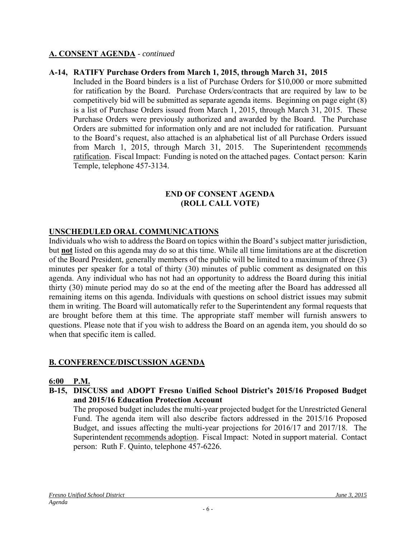### **A-14, RATIFY Purchase Orders from March 1, 2015, through March 31, 2015**

Included in the Board binders is a list of Purchase Orders for \$10,000 or more submitted for ratification by the Board. Purchase Orders/contracts that are required by law to be competitively bid will be submitted as separate agenda items. Beginning on page eight (8) is a list of Purchase Orders issued from March 1, 2015, through March 31, 2015. These Purchase Orders were previously authorized and awarded by the Board. The Purchase Orders are submitted for information only and are not included for ratification. Pursuant to the Board's request, also attached is an alphabetical list of all Purchase Orders issued from March 1, 2015, through March 31, 2015. The Superintendent recommends ratification. Fiscal Impact: Funding is noted on the attached pages. Contact person: Karin Temple, telephone 457-3134.

#### **END OF CONSENT AGENDA (ROLL CALL VOTE)**

### **UNSCHEDULED ORAL COMMUNICATIONS**

Individuals who wish to address the Board on topics within the Board's subject matter jurisdiction, but **not** listed on this agenda may do so at this time. While all time limitations are at the discretion of the Board President, generally members of the public will be limited to a maximum of three (3) minutes per speaker for a total of thirty (30) minutes of public comment as designated on this agenda. Any individual who has not had an opportunity to address the Board during this initial thirty (30) minute period may do so at the end of the meeting after the Board has addressed all remaining items on this agenda. Individuals with questions on school district issues may submit them in writing. The Board will automatically refer to the Superintendent any formal requests that are brought before them at this time. The appropriate staff member will furnish answers to questions. Please note that if you wish to address the Board on an agenda item, you should do so when that specific item is called.

# **B. CONFERENCE/DISCUSSION AGENDA**

#### **6:00 P.M.**

**B-15, DISCUSS and ADOPT Fresno Unified School District's 2015/16 Proposed Budget and 2015/16 Education Protection Account** 

The proposed budget includes the multi-year projected budget for the Unrestricted General Fund. The agenda item will also describe factors addressed in the 2015/16 Proposed Budget, and issues affecting the multi-year projections for 2016/17 and 2017/18. The Superintendent recommends adoption. Fiscal Impact: Noted in support material. Contact person: Ruth F. Quinto, telephone 457-6226.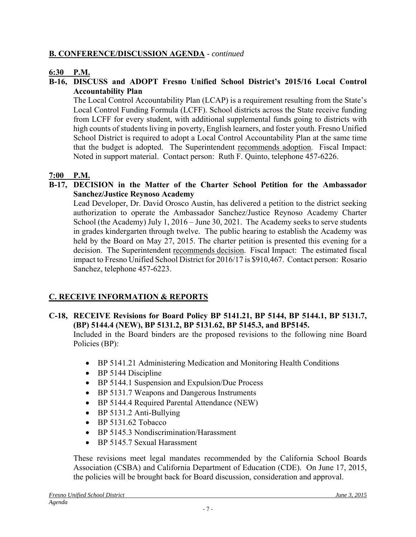# **B. CONFERENCE/DISCUSSION AGENDA** - *continued*

# **6:30 P.M.**

### **B-16, DISCUSS and ADOPT Fresno Unified School District's 2015/16 Local Control Accountability Plan**

The Local Control Accountability Plan (LCAP) is a requirement resulting from the State's Local Control Funding Formula (LCFF). School districts across the State receive funding from LCFF for every student, with additional supplemental funds going to districts with high counts of students living in poverty, English learners, and foster youth. Fresno Unified School District is required to adopt a Local Control Accountability Plan at the same time that the budget is adopted. The Superintendent recommends adoption. Fiscal Impact: Noted in support material. Contact person: Ruth F. Quinto, telephone 457-6226.

# **7:00 P.M.**

### **B-17, DECISION in the Matter of the Charter School Petition for the Ambassador Sanchez/Justice Reynoso Academy**

Lead Developer, Dr. David Orosco Austin, has delivered a petition to the district seeking authorization to operate the Ambassador Sanchez/Justice Reynoso Academy Charter School (the Academy) July 1, 2016 – June 30, 2021. The Academy seeks to serve students in grades kindergarten through twelve. The public hearing to establish the Academy was held by the Board on May 27, 2015. The charter petition is presented this evening for a decision. The Superintendent recommends decision. Fiscal Impact: The estimated fiscal impact to Fresno Unified School District for 2016/17 is \$910,467. Contact person: Rosario Sanchez, telephone 457-6223.

# **C. RECEIVE INFORMATION & REPORTS**

### **C-18, RECEIVE Revisions for Board Policy BP 5141.21, BP 5144, BP 5144.1, BP 5131.7, (BP) 5144.4 (NEW), BP 5131.2, BP 5131.62, BP 5145.3, and BP5145.**

Included in the Board binders are the proposed revisions to the following nine Board Policies (BP):

- BP 5141.21 Administering Medication and Monitoring Health Conditions
- BP 5144 Discipline
- BP 5144.1 Suspension and Expulsion/Due Process
- BP 5131.7 Weapons and Dangerous Instruments
- BP 5144.4 Required Parental Attendance (NEW)
- BP 5131.2 Anti-Bullying
- $\bullet$  BP 5131.62 Tobacco
- BP 5145.3 Nondiscrimination/Harassment
- BP 5145.7 Sexual Harassment

These revisions meet legal mandates recommended by the California School Boards Association (CSBA) and California Department of Education (CDE). On June 17, 2015, the policies will be brought back for Board discussion, consideration and approval.